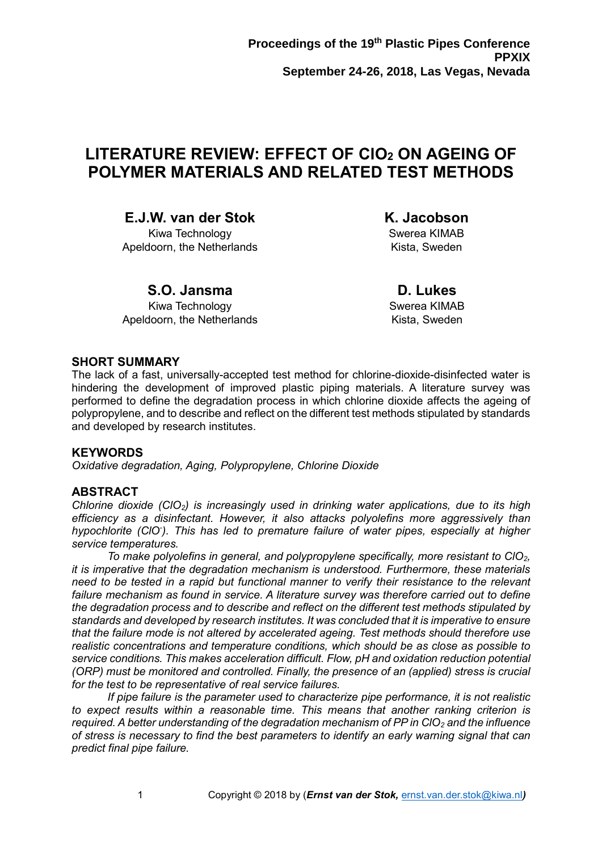# **LITERATURE REVIEW: EFFECT OF ClO<sup>2</sup> ON AGEING OF POLYMER MATERIALS AND RELATED TEST METHODS**

**E.J.W. van der Stok**

Kiwa Technology Apeldoorn, the Netherlands **K. Jacobson** Swerea KIMAB

Kista, Sweden

## **S.O. Jansma**

Kiwa Technology Apeldoorn, the Netherlands

**D. Lukes** Swerea KIMAB Kista, Sweden

### **SHORT SUMMARY**

The lack of a fast, universally-accepted test method for chlorine-dioxide-disinfected water is hindering the development of improved plastic piping materials. A literature survey was performed to define the degradation process in which chlorine dioxide affects the ageing of polypropylene, and to describe and reflect on the different test methods stipulated by standards and developed by research institutes.

### **KEYWORDS**

*Oxidative degradation, Aging, Polypropylene, Chlorine Dioxide*

### **ABSTRACT**

*Chlorine dioxide (ClO2) is increasingly used in drinking water applications, due to its high efficiency as a disinfectant. However, it also attacks polyolefins more aggressively than hypochlorite (ClO- ). This has led to premature failure of water pipes, especially at higher service temperatures.*

*To make polyolefins in general, and polypropylene specifically, more resistant to ClO2, it is imperative that the degradation mechanism is understood. Furthermore, these materials need to be tested in a rapid but functional manner to verify their resistance to the relevant failure mechanism as found in service. A literature survey was therefore carried out to define the degradation process and to describe and reflect on the different test methods stipulated by standards and developed by research institutes. It was concluded that it is imperative to ensure that the failure mode is not altered by accelerated ageing. Test methods should therefore use realistic concentrations and temperature conditions, which should be as close as possible to service conditions. This makes acceleration difficult. Flow, pH and oxidation reduction potential (ORP) must be monitored and controlled. Finally, the presence of an (applied) stress is crucial for the test to be representative of real service failures.*

*If pipe failure is the parameter used to characterize pipe performance, it is not realistic to expect results within a reasonable time. This means that another ranking criterion is required. A better understanding of the degradation mechanism of PP in ClO<sup>2</sup> and the influence of stress is necessary to find the best parameters to identify an early warning signal that can predict final pipe failure.*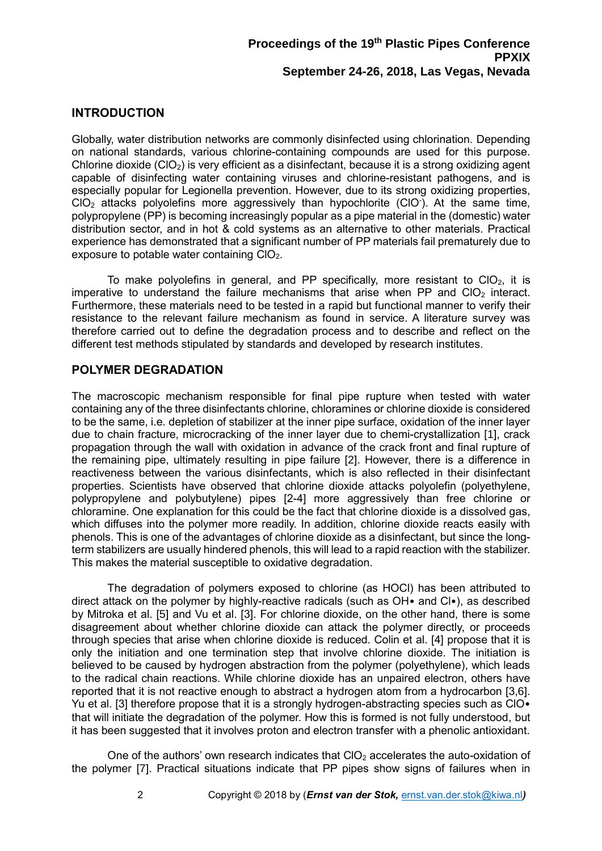### **INTRODUCTION**

Globally, water distribution networks are commonly disinfected using chlorination. Depending on national standards, various chlorine-containing compounds are used for this purpose. Chlorine dioxide  $(C|O<sub>2</sub>)$  is very efficient as a disinfectant, because it is a strong oxidizing agent capable of disinfecting water containing viruses and chlorine-resistant pathogens, and is especially popular for Legionella prevention. However, due to its strong oxidizing properties,  $ClO<sub>2</sub>$  attacks polyolefins more aggressively than hypochlorite (CIO<sup>-</sup>). At the same time, polypropylene (PP) is becoming increasingly popular as a pipe material in the (domestic) water distribution sector, and in hot & cold systems as an alternative to other materials. Practical experience has demonstrated that a significant number of PP materials fail prematurely due to exposure to potable water containing ClO2.

To make polyolefins in general, and PP specifically, more resistant to  $ClO<sub>2</sub>$ , it is imperative to understand the failure mechanisms that arise when PP and  $ClO<sub>2</sub>$  interact. Furthermore, these materials need to be tested in a rapid but functional manner to verify their resistance to the relevant failure mechanism as found in service. A literature survey was therefore carried out to define the degradation process and to describe and reflect on the different test methods stipulated by standards and developed by research institutes.

### **POLYMER DEGRADATION**

<span id="page-1-0"></span>The macroscopic mechanism responsible for final pipe rupture when tested with water containing any of the three disinfectants chlorine, chloramines or chlorine dioxide is considered to be the same, i.e. depletion of stabilizer at the inner pipe surface, oxidation of the inner layer due to chain fracture, microcracking of the inner layer due to chemi-crystallization [1], crack propagation through the wall with oxidation in advance of the crack front and final rupture of the remaining pipe, ultimately resulting in pipe failure [2]. However, there is a difference in reactiveness between the various disinfectants, which is also reflected in their disinfectant properties. Scientists have observed that chlorine dioxide attacks polyolefin (polyethylene, polypropylene and polybutylene) pipes [\[2](#page-1-0)[-4\]](#page-1-1) more aggressively than free chlorine or chloramine. One explanation for this could be the fact that chlorine dioxide is a dissolved gas, which diffuses into the polymer more readily. In addition, chlorine dioxide reacts easily with phenols. This is one of the advantages of chlorine dioxide as a disinfectant, but since the longterm stabilizers are usually hindered phenols, this will lead to a rapid reaction with the stabilizer. This makes the material susceptible to oxidative degradation.

<span id="page-1-2"></span><span id="page-1-1"></span>The degradation of polymers exposed to chlorine (as HOCl) has been attributed to direct attack on the polymer by highly-reactive radicals (such as OH• and Cl•), as described by Mitroka et al. [5] and Vu et al. [\[3\]](#page-1-2). For chlorine dioxide, on the other hand, there is some disagreement about whether chlorine dioxide can attack the polymer directly, or proceeds through species that arise when chlorine dioxide is reduced. Colin et al. [\[4\]](#page-1-1) propose that it is only the initiation and one termination step that involve chlorine dioxide. The initiation is believed to be caused by hydrogen abstraction from the polymer (polyethylene), which leads to the radical chain reactions. While chlorine dioxide has an unpaired electron, others have reported that it is not reactive enough to abstract a hydrogen atom from a hydrocarbon [\[3,](#page-1-2)6]. Yu et al. [\[3\]](#page-1-2) therefore propose that it is a strongly hydrogen-abstracting species such as CIO $\bullet$ that will initiate the degradation of the polymer. How this is formed is not fully understood, but it has been suggested that it involves proton and electron transfer with a phenolic antioxidant.

One of the authors' own research indicates that  $ClO<sub>2</sub>$  accelerates the auto-oxidation of the polymer [7]. Practical situations indicate that PP pipes show signs of failures when in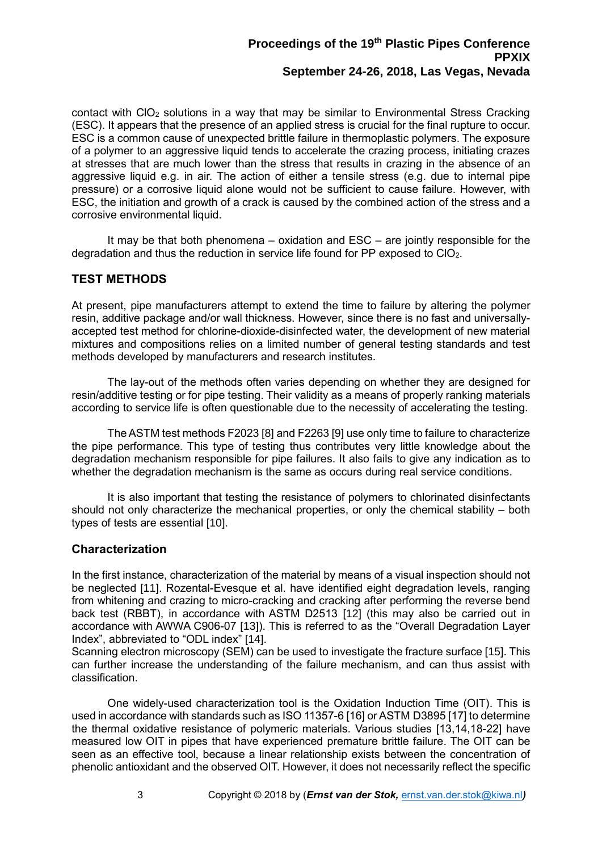contact with  $ClO<sub>2</sub>$  solutions in a way that may be similar to Environmental Stress Cracking (ESC). It appears that the presence of an applied stress is crucial for the final rupture to occur. ESC is a common cause of unexpected brittle failure in thermoplastic polymers. The exposure of a polymer to an aggressive liquid tends to accelerate the crazing process, initiating crazes at stresses that are much lower than the stress that results in crazing in the absence of an aggressive liquid e.g. in air. The action of either a tensile stress (e.g. due to internal pipe pressure) or a corrosive liquid alone would not be sufficient to cause failure. However, with ESC, the initiation and growth of a crack is caused by the combined action of the stress and a corrosive environmental liquid.

It may be that both phenomena – oxidation and ESC – are jointly responsible for the degradation and thus the reduction in service life found for PP exposed to  $ClO<sub>2</sub>$ .

### **TEST METHODS**

At present, pipe manufacturers attempt to extend the time to failure by altering the polymer resin, additive package and/or wall thickness. However, since there is no fast and universallyaccepted test method for chlorine-dioxide-disinfected water, the development of new material mixtures and compositions relies on a limited number of general testing standards and test methods developed by manufacturers and research institutes.

The lay-out of the methods often varies depending on whether they are designed for resin/additive testing or for pipe testing. Their validity as a means of properly ranking materials according to service life is often questionable due to the necessity of accelerating the testing.

<span id="page-2-12"></span><span id="page-2-11"></span>The ASTM test methods F2023 [8] and F2263 [9] use only time to failure to characterize the pipe performance. This type of testing thus contributes very little knowledge about the degradation mechanism responsible for pipe failures. It also fails to give any indication as to whether the degradation mechanism is the same as occurs during real service conditions.

It is also important that testing the resistance of polymers to chlorinated disinfectants should not only characterize the mechanical properties, or only the chemical stability – both types of tests are essential [10].

### <span id="page-2-9"></span>**Characterization**

<span id="page-2-8"></span>In the first instance, characterization of the material by means of a visual inspection should not be neglected [11]. Rozental-Evesque et al. have identified eight degradation levels, ranging from whitening and crazing to micro-cracking and cracking after performing the reverse bend back test (RBBT), in accordance with ASTM D2513 [12] (this may also be carried out in accordance with AWWA C906-07 [13]). This is referred to as the "Overall Degradation Layer Index", abbreviated to "ODL index" [14].

<span id="page-2-6"></span><span id="page-2-3"></span><span id="page-2-2"></span>Scanning electron microscopy (SEM) can be used to investigate the fracture surface [15]. This can further increase the understanding of the failure mechanism, and can thus assist with classification.

<span id="page-2-10"></span><span id="page-2-7"></span><span id="page-2-5"></span><span id="page-2-4"></span><span id="page-2-1"></span><span id="page-2-0"></span>One widely-used characterization tool is the Oxidation Induction Time (OIT). This is used in accordance with standards such as ISO 11357-6 [\[16\]](#page-2-0) or ASTM D3895 [\[17\]](#page-2-1) to determine the thermal oxidative resistance of polymeric materials. Various studies [\[13](#page-2-2)[,14](#page-2-3)[,18](#page-2-4)[-22\]](#page-2-5) have measured low OIT in pipes that have experienced premature brittle failure. The OIT can be seen as an effective tool, because a linear relationship exists between the concentration of phenolic antioxidant and the observed OIT. However, it does not necessarily reflect the specific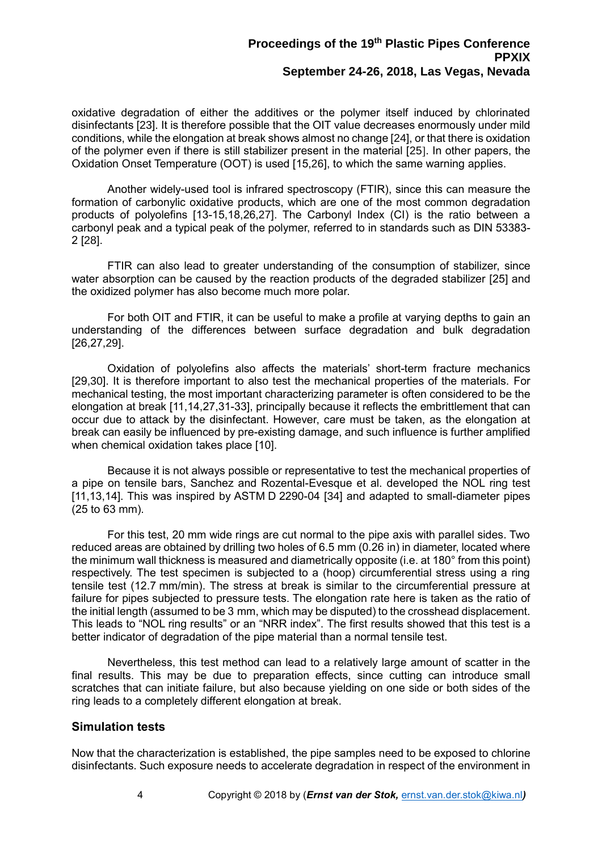<span id="page-3-6"></span>oxidative degradation of either the additives or the polymer itself induced by chlorinated disinfectants [23]. It is therefore possible that the OIT value decreases enormously under mild conditions, while the elongation at break shows almost no change [24], or that there is oxidation of the polymer even if there is still stabilizer present in the material [25]. In other papers, the Oxidation Onset Temperature (OOT) is used [\[15,](#page-2-6)26], to which the same warning applies.

<span id="page-3-2"></span><span id="page-3-1"></span><span id="page-3-0"></span>Another widely-used tool is infrared spectroscopy (FTIR), since this can measure the formation of carbonylic oxidative products, which are one of the most common degradation products of polyolefins [\[13](#page-2-2)[-15](#page-2-6)[,18](#page-2-7)[,26,](#page-3-0)27]. The Carbonyl Index (CI) is the ratio between a carbonyl peak and a typical peak of the polymer, referred to in standards such as DIN 53383- 2 [28].

FTIR can also lead to greater understanding of the consumption of stabilizer, since water absorption can be caused by the reaction products of the degraded stabilizer [\[25\]](#page-3-1) and the oxidized polymer has also become much more polar.

<span id="page-3-3"></span>For both OIT and FTIR, it can be useful to make a profile at varying depths to gain an understanding of the differences between surface degradation and bulk degradation [\[26](#page-3-0)[,27,](#page-3-2)29].

Oxidation of polyolefins also affects the materials' short-term fracture mechanics [\[29,](#page-3-3)30]. It is therefore important to also test the mechanical properties of the materials. For mechanical testing, the most important characterizing parameter is often considered to be the elongation at break [\[11](#page-2-8)[,14](#page-2-3)[,27,](#page-3-2)[31](#page-3-4)[-33\]](#page-3-5), principally because it reflects the embrittlement that can occur due to attack by the disinfectant. However, care must be taken, as the elongation at break can easily be influenced by pre-existing damage, and such influence is further amplified when chemical oxidation takes place [\[10\]](#page-2-9).

<span id="page-3-7"></span><span id="page-3-5"></span><span id="page-3-4"></span>Because it is not always possible or representative to test the mechanical properties of a pipe on tensile bars, Sanchez and Rozental-Evesque et al. developed the NOL ring test [\[11,](#page-2-8)[13](#page-2-2)[,14\]](#page-2-3). This was inspired by ASTM D 2290-04 [34] and adapted to small-diameter pipes (25 to 63 mm).

For this test, 20 mm wide rings are cut normal to the pipe axis with parallel sides. Two reduced areas are obtained by drilling two holes of 6.5 mm (0.26 in) in diameter, located where the minimum wall thickness is measured and diametrically opposite (i.e. at 180° from this point) respectively. The test specimen is subjected to a (hoop) circumferential stress using a ring tensile test (12.7 mm/min). The stress at break is similar to the circumferential pressure at failure for pipes subjected to pressure tests. The elongation rate here is taken as the ratio of the initial length (assumed to be 3 mm, which may be disputed) to the crosshead displacement. This leads to "NOL ring results" or an "NRR index". The first results showed that this test is a better indicator of degradation of the pipe material than a normal tensile test.

Nevertheless, this test method can lead to a relatively large amount of scatter in the final results. This may be due to preparation effects, since cutting can introduce small scratches that can initiate failure, but also because yielding on one side or both sides of the ring leads to a completely different elongation at break.

#### **Simulation tests**

Now that the characterization is established, the pipe samples need to be exposed to chlorine disinfectants. Such exposure needs to accelerate degradation in respect of the environment in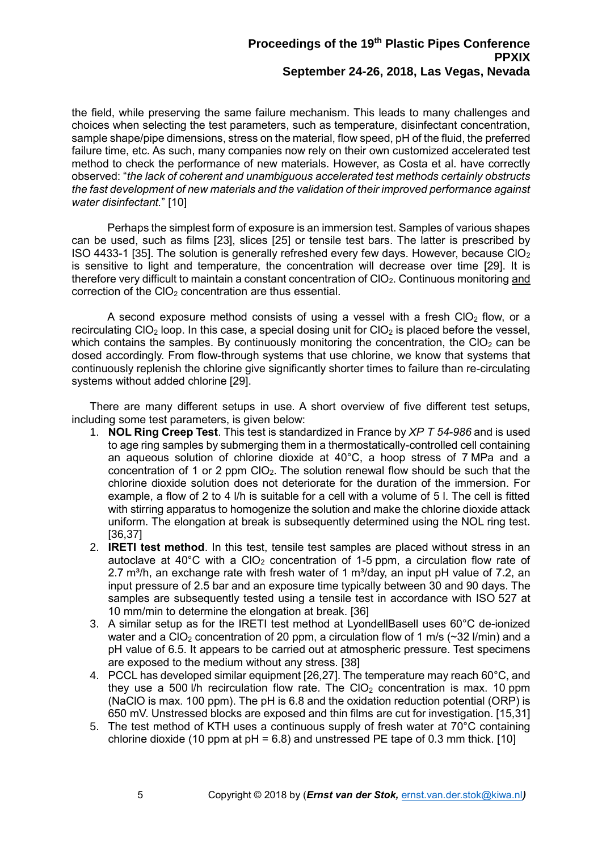the field, while preserving the same failure mechanism. This leads to many challenges and choices when selecting the test parameters, such as temperature, disinfectant concentration, sample shape/pipe dimensions, stress on the material, flow speed, pH of the fluid, the preferred failure time, etc. As such, many companies now rely on their own customized accelerated test method to check the performance of new materials. However, as Costa et al. have correctly observed: "*the lack of coherent and unambiguous accelerated test methods certainly obstructs the fast development of new materials and the validation of their improved performance against water disinfectant.*" [\[10\]](#page-2-9)

Perhaps the simplest form of exposure is an immersion test. Samples of various shapes can be used, such as films [\[23\]](#page-3-6), slices [\[25\]](#page-3-1) or tensile test bars. The latter is prescribed by ISO 4433-1 [35]. The solution is generally refreshed every few days. However, because  $ClO<sub>2</sub>$ is sensitive to light and temperature, the concentration will decrease over time [\[29\]](#page-3-3). It is therefore very difficult to maintain a constant concentration of CIO<sub>2</sub>. Continuous monitoring and correction of the  $ClO<sub>2</sub>$  concentration are thus essential.

A second exposure method consists of using a vessel with a fresh CIO<sub>2</sub> flow, or a recirculating ClO<sub>2</sub> loop. In this case, a special dosing unit for ClO<sub>2</sub> is placed before the vessel, which contains the samples. By continuously monitoring the concentration, the CIO<sub>2</sub> can be dosed accordingly. From flow-through systems that use chlorine, we know that systems that continuously replenish the chlorine give significantly shorter times to failure than re-circulating systems without added chlorine [\[29\]](#page-3-3).

There are many different setups in use. A short overview of five different test setups, including some test parameters, is given below:

- 1. **NOL Ring Creep Test**. This test is standardized in France by *XP T 54-986* and is used to age ring samples by submerging them in a thermostatically-controlled cell containing an aqueous solution of chlorine dioxide at 40°C, a hoop stress of 7 MPa and a concentration of 1 or 2 ppm  $ClO<sub>2</sub>$ . The solution renewal flow should be such that the chlorine dioxide solution does not deteriorate for the duration of the immersion. For example, a flow of 2 to 4 l/h is suitable for a cell with a volume of 5 l. The cell is fitted with stirring apparatus to homogenize the solution and make the chlorine dioxide attack uniform. The elongation at break is subsequently determined using the NOL ring test. [36,37]
- <span id="page-4-0"></span>2. **IRETI test method**. In this test, tensile test samples are placed without stress in an autoclave at  $40^{\circ}$ C with a CIO<sub>2</sub> concentration of 1-5 ppm, a circulation flow rate of 2.7 m<sup>3</sup>/h, an exchange rate with fresh water of 1 m<sup>3</sup>/day, an input pH value of 7.2, an input pressure of 2.5 bar and an exposure time typically between 30 and 90 days. The samples are subsequently tested using a tensile test in accordance with ISO 527 at 10 mm/min to determine the elongation at break. [\[36\]](#page-4-0)
- 3. A similar setup as for the IRETI test method at LyondellBasell uses 60°C de-ionized water and a ClO<sub>2</sub> concentration of 20 ppm, a circulation flow of 1 m/s ( $\sim$ 32 l/min) and a pH value of 6.5. It appears to be carried out at atmospheric pressure. Test specimens are exposed to the medium without any stress. [38]
- <span id="page-4-1"></span>4. PCCL has developed similar equipment [\[26](#page-3-0)[,27\]](#page-3-2). The temperature may reach 60°C, and they use a 500 l/h recirculation flow rate. The  $ClO<sub>2</sub>$  concentration is max. 10 ppm (NaClO is max. 100 ppm). The pH is 6.8 and the oxidation reduction potential (ORP) is 650 mV. Unstressed blocks are exposed and thin films are cut for investigation. [\[15](#page-2-6)[,31\]](#page-3-7)
- 5. The test method of KTH uses a continuous supply of fresh water at 70°C containing chlorine dioxide (10 ppm at  $pH = 6.8$ ) and unstressed PE tape of 0.3 mm thick. [\[10\]](#page-2-9)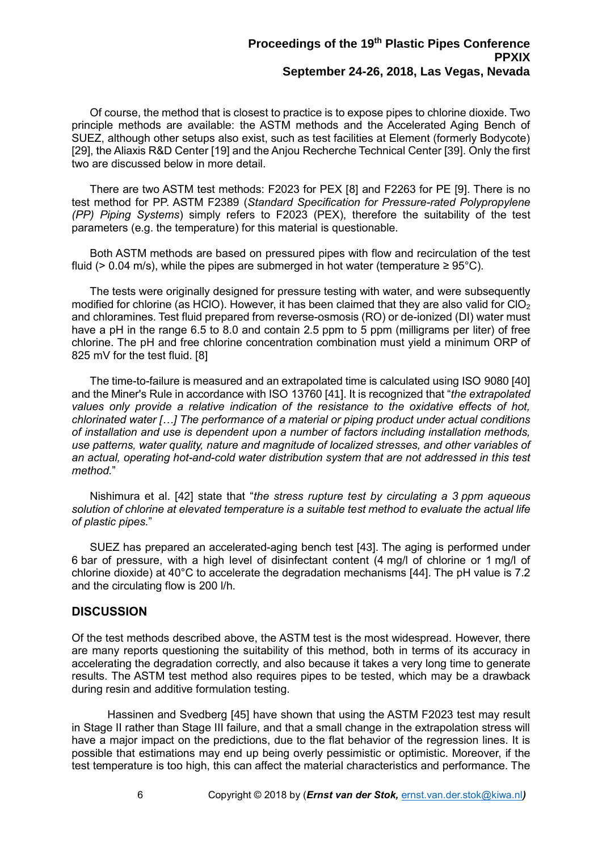Of course, the method that is closest to practice is to expose pipes to chlorine dioxide. Two principle methods are available: the ASTM methods and the Accelerated Aging Bench of SUEZ, although other setups also exist, such as test facilities at Element (formerly Bodycote) [\[29\]](#page-3-3), the Aliaxis R&D Center [\[19\]](#page-2-10) and the Anjou Recherche Technical Center [39]. Only the first two are discussed below in more detail.

There are two ASTM test methods: F2023 for PEX [\[8\]](#page-2-11) and F2263 for PE [\[9\]](#page-2-12). There is no test method for PP. ASTM F2389 (*Standard Specification for Pressure-rated Polypropylene (PP) Piping Systems*) simply refers to F2023 (PEX), therefore the suitability of the test parameters (e.g. the temperature) for this material is questionable.

Both ASTM methods are based on pressured pipes with flow and recirculation of the test fluid (> 0.04 m/s), while the pipes are submerged in hot water (temperature  $\geq 95^{\circ}$ C).

The tests were originally designed for pressure testing with water, and were subsequently modified for chlorine (as HClO). However, it has been claimed that they are also valid for  $ClO<sub>2</sub>$ and chloramines. Test fluid prepared from reverse-osmosis (RO) or de-ionized (DI) water must have a pH in the range 6.5 to 8.0 and contain 2.5 ppm to 5 ppm (milligrams per liter) of free chlorine. The pH and free chlorine concentration combination must yield a minimum ORP of 825 mV for the test fluid. [\[8\]](#page-2-11)

The time-to-failure is measured and an extrapolated time is calculated using ISO 9080 [40] and the Miner's Rule in accordance with ISO 13760 [41]. It is recognized that "*the extrapolated values only provide a relative indication of the resistance to the oxidative effects of hot, chlorinated water […] The performance of a material or piping product under actual conditions of installation and use is dependent upon a number of factors including installation methods, use patterns, water quality, nature and magnitude of localized stresses, and other variables of an actual, operating hot-and-cold water distribution system that are not addressed in this test method.*"

Nishimura et al. [42] state that "*the stress rupture test by circulating a 3 ppm aqueous solution of chlorine at elevated temperature is a suitable test method to evaluate the actual life of plastic pipes.*"

<span id="page-5-0"></span>SUEZ has prepared an accelerated-aging bench test [43]. The aging is performed under 6 bar of pressure, with a high level of disinfectant content (4 mg/l of chlorine or 1 mg/l of chlorine dioxide) at 40°C to accelerate the degradation mechanisms [44]. The pH value is 7.2 and the circulating flow is 200 l/h.

#### **DISCUSSION**

Of the test methods described above, the ASTM test is the most widespread. However, there are many reports questioning the suitability of this method, both in terms of its accuracy in accelerating the degradation correctly, and also because it takes a very long time to generate results. The ASTM test method also requires pipes to be tested, which may be a drawback during resin and additive formulation testing.

<span id="page-5-1"></span>Hassinen and Svedberg [45] have shown that using the ASTM F2023 test may result in Stage II rather than Stage III failure, and that a small change in the extrapolation stress will have a major impact on the predictions, due to the flat behavior of the regression lines. It is possible that estimations may end up being overly pessimistic or optimistic. Moreover, if the test temperature is too high, this can affect the material characteristics and performance. The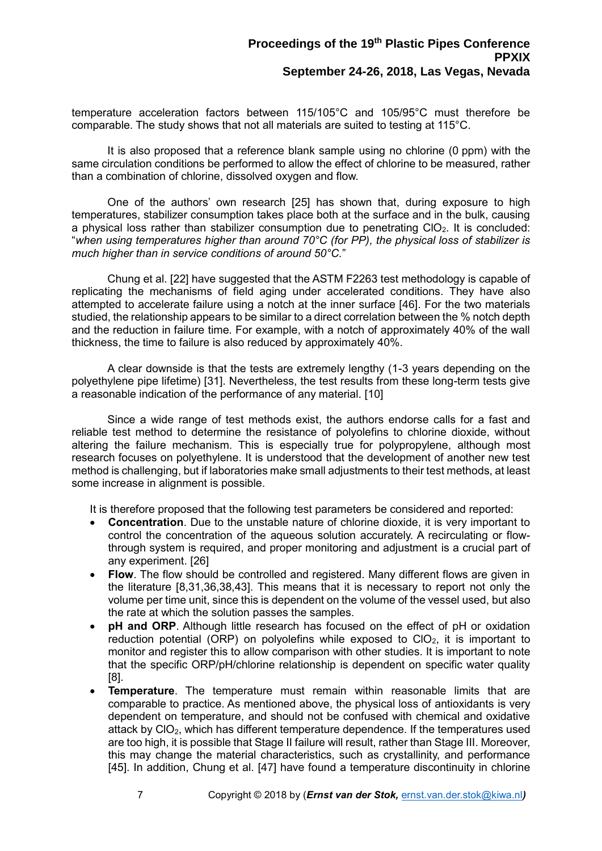temperature acceleration factors between 115/105°C and 105/95°C must therefore be comparable. The study shows that not all materials are suited to testing at 115°C.

It is also proposed that a reference blank sample using no chlorine (0 ppm) with the same circulation conditions be performed to allow the effect of chlorine to be measured, rather than a combination of chlorine, dissolved oxygen and flow.

One of the authors' own research [\[25\]](#page-3-1) has shown that, during exposure to high temperatures, stabilizer consumption takes place both at the surface and in the bulk, causing a physical loss rather than stabilizer consumption due to penetrating  $ClO<sub>2</sub>$ . It is concluded: "*when using temperatures higher than around 70°C (for PP), the physical loss of stabilizer is much higher than in service conditions of around 50°C.*"

Chung et al. [\[22\]](#page-2-5) have suggested that the ASTM F2263 test methodology is capable of replicating the mechanisms of field aging under accelerated conditions. They have also attempted to accelerate failure using a notch at the inner surface [46]. For the two materials studied, the relationship appears to be similar to a direct correlation between the % notch depth and the reduction in failure time. For example, with a notch of approximately 40% of the wall thickness, the time to failure is also reduced by approximately 40%.

A clear downside is that the tests are extremely lengthy (1-3 years depending on the polyethylene pipe lifetime) [\[31\]](#page-3-7). Nevertheless, the test results from these long-term tests give a reasonable indication of the performance of any material. [\[10\]](#page-2-9)

Since a wide range of test methods exist, the authors endorse calls for a fast and reliable test method to determine the resistance of polyolefins to chlorine dioxide, without altering the failure mechanism. This is especially true for polypropylene, although most research focuses on polyethylene. It is understood that the development of another new test method is challenging, but if laboratories make small adjustments to their test methods, at least some increase in alignment is possible.

It is therefore proposed that the following test parameters be considered and reported:

- **Concentration**. Due to the unstable nature of chlorine dioxide, it is very important to control the concentration of the aqueous solution accurately. A recirculating or flowthrough system is required, and proper monitoring and adjustment is a crucial part of any experiment. [\[26\]](#page-3-0)
- **Flow**. The flow should be controlled and registered. Many different flows are given in the literature [\[8](#page-2-11)[,31](#page-3-7)[,36,](#page-4-0)[38](#page-4-1)[,43\]](#page-5-0). This means that it is necessary to report not only the volume per time unit, since this is dependent on the volume of the vessel used, but also the rate at which the solution passes the samples.
- **pH and ORP.** Although little research has focused on the effect of pH or oxidation reduction potential (ORP) on polyolefins while exposed to  $ClO<sub>2</sub>$ , it is important to monitor and register this to allow comparison with other studies. It is important to note that the specific ORP/pH/chlorine relationship is dependent on specific water quality [\[8\]](#page-2-11).
- **Temperature**. The temperature must remain within reasonable limits that are comparable to practice. As mentioned above, the physical loss of antioxidants is very dependent on temperature, and should not be confused with chemical and oxidative attack by  $ClO<sub>2</sub>$ , which has different temperature dependence. If the temperatures used are too high, it is possible that Stage II failure will result, rather than Stage III. Moreover, this may change the material characteristics, such as crystallinity, and performance [\[45\]](#page-5-1). In addition, Chung et al. [47] have found a temperature discontinuity in chlorine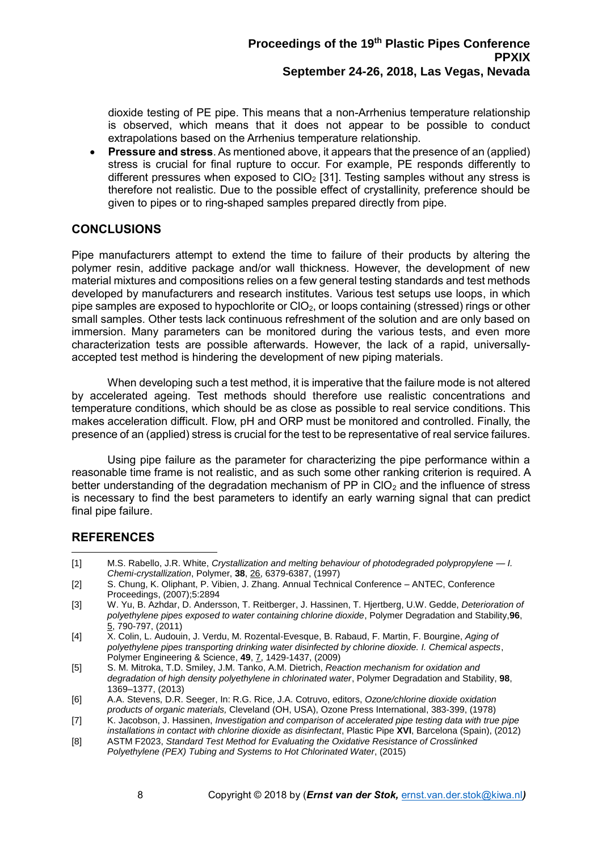dioxide testing of PE pipe. This means that a non-Arrhenius temperature relationship is observed, which means that it does not appear to be possible to conduct extrapolations based on the Arrhenius temperature relationship.

• **Pressure and stress**. As mentioned above, it appears that the presence of an (applied) stress is crucial for final rupture to occur. For example, PE responds differently to different pressures when exposed to  $ClO<sub>2</sub>$  [\[31\]](#page-3-7). Testing samples without any stress is therefore not realistic. Due to the possible effect of crystallinity, preference should be given to pipes or to ring-shaped samples prepared directly from pipe.

### **CONCLUSIONS**

Pipe manufacturers attempt to extend the time to failure of their products by altering the polymer resin, additive package and/or wall thickness. However, the development of new material mixtures and compositions relies on a few general testing standards and test methods developed by manufacturers and research institutes. Various test setups use loops, in which pipe samples are exposed to hypochlorite or  $ClO_2$ , or loops containing (stressed) rings or other small samples. Other tests lack continuous refreshment of the solution and are only based on immersion. Many parameters can be monitored during the various tests, and even more characterization tests are possible afterwards. However, the lack of a rapid, universallyaccepted test method is hindering the development of new piping materials.

When developing such a test method, it is imperative that the failure mode is not altered by accelerated ageing. Test methods should therefore use realistic concentrations and temperature conditions, which should be as close as possible to real service conditions. This makes acceleration difficult. Flow, pH and ORP must be monitored and controlled. Finally, the presence of an (applied) stress is crucial for the test to be representative of real service failures.

Using pipe failure as the parameter for characterizing the pipe performance within a reasonable time frame is not realistic, and as such some other ranking criterion is required. A better understanding of the degradation mechanism of PP in  $ClO<sub>2</sub>$  and the influence of stress is necessary to find the best parameters to identify an early warning signal that can predict final pipe failure.

### **REFERENCES**

- [1] M.S. Rabello, J.R. White, *Crystallization and melting behaviour of photodegraded polypropylene — I. Chemi-crystallization*, Polymer, **38**, 26, 6379-6387, (1997)  $\overline{a}$
- [2] S. Chung, K. Oliphant, P. Vibien, J. Zhang. Annual Technical Conference ANTEC, Conference Proceedings, (2007);5:2894
- [3] W. Yu, B. Azhdar, D. Andersson, T. Reitberger, J. Hassinen, T. Hjertberg, U.W. Gedde, *Deterioration of polyethylene pipes exposed to water containing chlorine dioxide*, Polymer Degradation and Stability,**96**, 5, 790-797, (2011)
- [4] X. Colin, L. Audouin, J. Verdu, M. Rozental‐Evesque, B. Rabaud, F. Martin, F. Bourgine, *Aging of polyethylene pipes transporting drinking water disinfected by chlorine dioxide. I. Chemical aspects*, Polymer Engineering & Science, **49**, 7, 1429-1437, (2009)
- [5] S. M. Mitroka, T.D. Smiley, J.M. Tanko, A.M. Dietrich, *Reaction mechanism for oxidation and degradation of high density polyethylene in chlorinated water*, Polymer Degradation and Stability, **98**, 1369–1377, (2013)
- [6] A.A. Stevens, D.R. Seeger, In: R.G. Rice, J.A. Cotruvo, editors, *Ozone/chlorine dioxide oxidation products of organic materials,* Cleveland (OH, USA), Ozone Press International, 383-399, (1978)
- [7] K. Jacobson, J. Hassinen, *Investigation and comparison of accelerated pipe testing data with true pipe installations in contact with chlorine dioxide as disinfectant*, Plastic Pipe **XVI**, Barcelona (Spain), (2012)
- [8] ASTM F2023, *Standard Test Method for Evaluating the Oxidative Resistance of Crosslinked Polyethylene (PEX) Tubing and Systems to Hot Chlorinated Water*, (2015)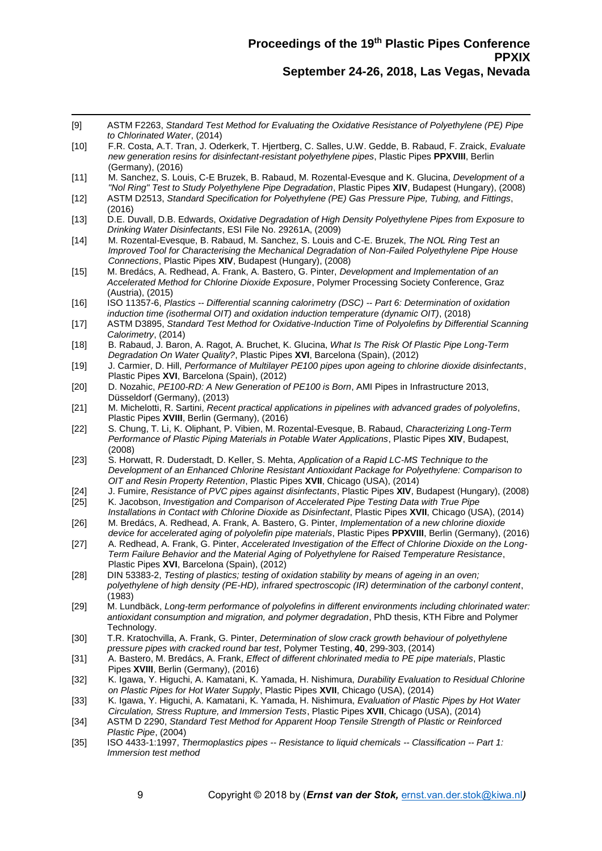- $\overline{a}$ [9] ASTM F2263, *Standard Test Method for Evaluating the Oxidative Resistance of Polyethylene (PE) Pipe to Chlorinated Water*, (2014)
- [10] F.R. Costa, A.T. Tran, J. Oderkerk, T. Hjertberg, C. Salles, U.W. Gedde, B. Rabaud, F. Zraick, *Evaluate new generation resins for disinfectant-resistant polyethylene pipes*, Plastic Pipes **PPXVIII**, Berlin (Germany), (2016)
- [11] M. Sanchez, S. Louis, C-E Bruzek, B. Rabaud, M. Rozental-Evesque and K. Glucina, *Development of a "Nol Ring" Test to Study Polyethylene Pipe Degradation*, Plastic Pipes **XIV**, Budapest (Hungary), (2008)
- [12] ASTM D2513, *Standard Specification for Polyethylene (PE) Gas Pressure Pipe, Tubing, and Fittings*, (2016)
- [13] D.E. Duvall, D.B. Edwards, *Oxidative Degradation of High Density Polyethylene Pipes from Exposure to Drinking Water Disinfectants*, ESI File No. 29261A, (2009)
- [14] M. Rozental-Evesque, B. Rabaud, M. Sanchez, S. Louis and C-E. Bruzek, *The NOL Ring Test an Improved Tool for Characterising the Mechanical Degradation of Non-Failed Polyethylene Pipe House Connections*, Plastic Pipes **XIV**, Budapest (Hungary), (2008)
- [15] M. Bredács, A. Redhead, A. Frank, A. Bastero, G. Pinter, *Development and Implementation of an Accelerated Method for Chlorine Dioxide Exposure*, Polymer Processing Society Conference, Graz (Austria), (2015)
- [16] ISO 11357-6, *Plastics -- Differential scanning calorimetry (DSC) -- Part 6: Determination of oxidation induction time (isothermal OIT) and oxidation induction temperature (dynamic OIT)*, (2018)
- [17] ASTM D3895, *Standard Test Method for Oxidative-Induction Time of Polyolefins by Differential Scanning Calorimetry*, (2014)
- [18] B. Rabaud, J. Baron, A. Ragot, A. Bruchet, K. Glucina, *What Is The Risk Of Plastic Pipe Long-Term Degradation On Water Quality?*, Plastic Pipes **XVI**, Barcelona (Spain), (2012)
- [19] J. Carmier, D. Hill, *Performance of Multilayer PE100 pipes upon ageing to chlorine dioxide disinfectants*, Plastic Pipes **XVI**, Barcelona (Spain), (2012)
- [20] D. Nozahic, *PE100-RD: A New Generation of PE100 is Born*, AMI Pipes in Infrastructure 2013, Düsseldorf (Germany), (2013)
- [21] M. Michelotti, R. Sartini, *Recent practical applications in pipelines with advanced grades of polyolefins*, Plastic Pipes **XVIII**, Berlin (Germany), (2016)
- [22] S. Chung, T. Li, K. Oliphant, P. Vibien, M. Rozental-Evesque, B. Rabaud, *Characterizing Long-Term Performance of Plastic Piping Materials in Potable Water Applications*, Plastic Pipes **XIV**, Budapest, (2008)
- [23] S. Horwatt, R. Duderstadt, D. Keller, S. Mehta, *Application of a Rapid LC-MS Technique to the Development of an Enhanced Chlorine Resistant Antioxidant Package for Polyethylene: Comparison to OIT and Resin Property Retention*, Plastic Pipes **XVII**, Chicago (USA), (2014)
- [24] J. Fumire, *Resistance of PVC pipes against disinfectants*, Plastic Pipes **XIV**, Budapest (Hungary), (2008) [25] K. Jacobson, *Investigation and Comparison of Accelerated Pipe Testing Data with True Pipe*
- *Installations in Contact with Chlorine Dioxide as Disinfectant*, Plastic Pipes **XVII**, Chicago (USA), (2014) [26] M. Bredács, A. Redhead, A. Frank, A. Bastero, G. Pinter, *Implementation of a new chlorine dioxide*
- *device for accelerated aging of polyolefin pipe materials*, Plastic Pipes **PPXVIII**, Berlin (Germany), (2016) [27] A. Redhead, A. Frank, G. Pinter, *Accelerated Investigation of the Effect of Chlorine Dioxide on the Long-Term Failure Behavior and the Material Aging of Polyethylene for Raised Temperature Resistance*,
- Plastic Pipes **XVI**, Barcelona (Spain), (2012) [28] DIN 53383-2, *Testing of plastics; testing of oxidation stability by means of ageing in an oven;*
- *polyethylene of high density (PE-HD), infrared spectroscopic (IR) determination of the carbonyl content*, (1983)
- [29] M. Lundbäck, *Long-term performance of polyolefins in different environments including chlorinated water: antioxidant consumption and migration, and polymer degradation*, PhD thesis, KTH Fibre and Polymer Technology.
- [30] T.R. Kratochvilla, A. Frank, G. Pinter, *Determination of slow crack growth behaviour of polyethylene pressure pipes with cracked round bar test*, Polymer Testing, **40**, 299-303, (2014)
- [31] A. Bastero, M. Bredács, A. Frank, *Effect of different chlorinated media to PE pipe materials*, Plastic Pipes **XVIII**, Berlin (Germany), (2016)
- [32] K. Igawa, Y. Higuchi, A. Kamatani, K. Yamada, H. Nishimura, *Durability Evaluation to Residual Chlorine on Plastic Pipes for Hot Water Supply*, Plastic Pipes **XVII**, Chicago (USA), (2014)
- [33] K. Igawa, Y. Higuchi, A. Kamatani, K. Yamada, H. Nishimura, *Evaluation of Plastic Pipes by Hot Water Circulation, Stress Rupture, and Immersion Tests*, Plastic Pipes **XVII**, Chicago (USA), (2014)
- [34] ASTM D 2290, *Standard Test Method for Apparent Hoop Tensile Strength of Plastic or Reinforced Plastic Pipe*, (2004)
- [35] ISO 4433-1:1997, *Thermoplastics pipes -- Resistance to liquid chemicals -- Classification -- Part 1: Immersion test method*